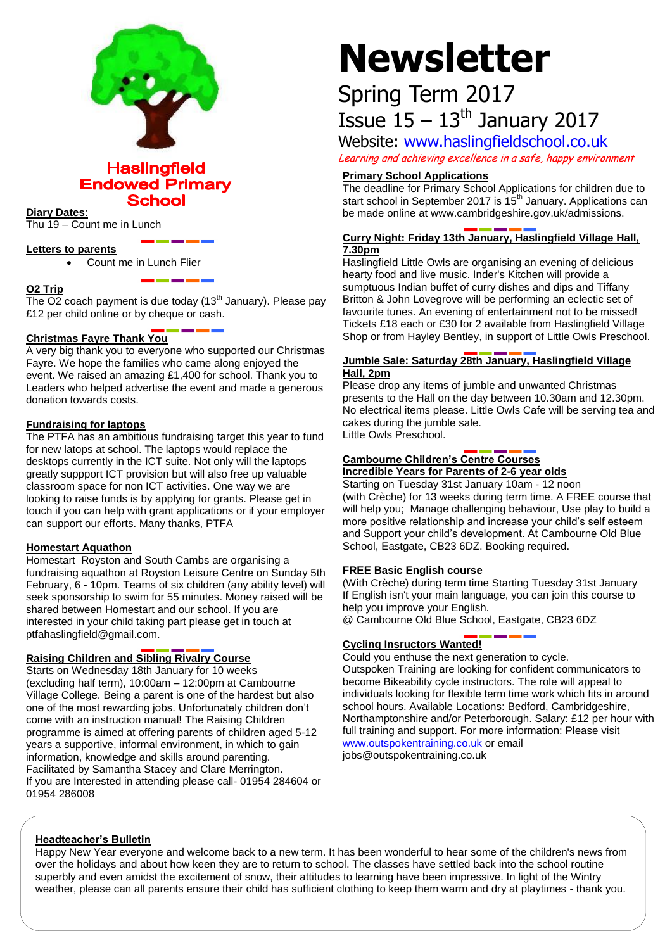

**Haslingfield Endowed Primary School** 

### **Diary Dates**:

Thu 19 – Count me in Lunch

### **Letters to parents**

Count me in Lunch Flier

# **O2 Trip**

The  $O2$  coach payment is due today (13<sup>th</sup> January). Please pay £12 per child online or by cheque or cash.

# **Christmas Fayre Thank You**

A very big thank you to everyone who supported our Christmas Fayre. We hope the families who came along enjoyed the event. We raised an amazing £1,400 for school. Thank you to Leaders who helped advertise the event and made a generous donation towards costs.

## **Fundraising for laptops**

The PTFA has an ambitious fundraising target this year to fund for new latops at school. The laptops would replace the desktops currently in the ICT suite. Not only will the laptops greatly suppport ICT provision but will also free up valuable classroom space for non ICT activities. One way we are looking to raise funds is by applying for grants. Please get in touch if you can help with grant applications or if your employer can support our efforts. Many thanks, PTFA

## **Homestart Aquathon**

Homestart Royston and South Cambs are organising a fundraising aquathon at Royston Leisure Centre on Sunday 5th February, 6 - 10pm. Teams of six children (any ability level) will seek sponsorship to swim for 55 minutes. Money raised will be shared between Homestart and our school. If you are interested in your child taking part please get in touch at ptfahaslingfield@gmail.com.

# **Raising Children and Sibling Rivalry Course**

Starts on Wednesday 18th January for 10 weeks (excluding half term), 10:00am – 12:00pm at Cambourne Village College. Being a parent is one of the hardest but also one of the most rewarding jobs. Unfortunately children don't come with an instruction manual! The Raising Children programme is aimed at offering parents of children aged 5-12 years a supportive, informal environment, in which to gain information, knowledge and skills around parenting. Facilitated by Samantha Stacey and Clare Merrington. If you are Interested in attending please call- 01954 284604 or 01954 286008

# **Newsletter**

# Spring Term 2017 Issue  $15 - 13$ <sup>th</sup> January 2017

Website: [www.haslingfieldschool.co.uk](http://www.haslingfieldschool.co.uk/) Learning and achieving excellence in a safe, happy environment

# **Primary School Applications**

The deadline for Primary School Applications for children due to start school in September 2017 is 15<sup>th</sup> January. Applications can be made online at www.cambridgeshire.gov.uk/admissions.

# **Curry Night: Friday 13th January, Haslingfield Village Hall, 7.30pm**

Haslingfield Little Owls are organising an evening of delicious hearty food and live music. Inder's Kitchen will provide a sumptuous Indian buffet of curry dishes and dips and Tiffany Britton & John Lovegrove will be performing an eclectic set of favourite tunes. An evening of entertainment not to be missed! Tickets £18 each or £30 for 2 available from Haslingfield Village Shop or from Hayley Bentley, in support of Little Owls Preschool.

# **Jumble Sale: Saturday 28th January, Haslingfield Village Hall, 2pm**

Please drop any items of jumble and unwanted Christmas presents to the Hall on the day between 10.30am and 12.30pm. No electrical items please. Little Owls Cafe will be serving tea and cakes during the jumble sale. Little Owls Preschool.

# **Cambourne Children's Centre Courses Incredible Years for Parents of 2-6 year olds**

Starting on Tuesday 31st January 10am - 12 noon (with Crèche) for 13 weeks during term time. A FREE course that will help you; Manage challenging behaviour, Use play to build a more positive relationship and increase your child's self esteem and Support your child's development. At Cambourne Old Blue School, Eastgate, CB23 6DZ. Booking required.

### **FREE Basic English course**

(With Crèche) during term time Starting Tuesday 31st January If English isn't your main language, you can join this course to help you improve your English.

@ Cambourne Old Blue School, Eastgate, CB23 6DZ

# **Cycling Insructors Wanted!**

Could you enthuse the next generation to cycle. Outspoken Training are looking for confident communicators to become Bikeability cycle instructors. The role will appeal to individuals looking for flexible term time work which fits in around school hours. Available Locations: Bedford, Cambridgeshire, Northamptonshire and/or Peterborough. Salary: £12 per hour with full training and support. For more information: Please visit [www.outspokentraining.co.uk](http://www.outspokentraining.co.uk/) or email jobs@outspokentraining.co.uk

### **Headteacher's Bulletin**

Happy New Year everyone and welcome back to a new term. It has been wonderful to hear some of the children's news from over the holidays and about how keen they are to return to school. The classes have settled back into the school routine superbly and even amidst the excitement of snow, their attitudes to learning have been impressive. In light of the Wintry weather, please can all parents ensure their child has sufficient clothing to keep them warm and dry at playtimes - thank you.